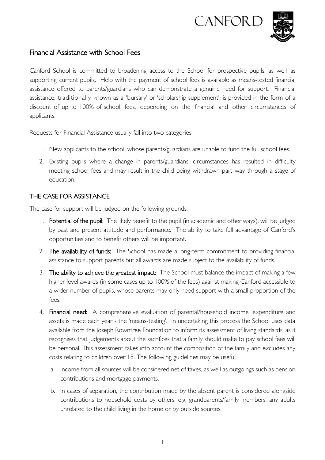



# Financial Assistance with School Fees

Canford School is committed to broadening access to the School for prospective pupils, as well as supporting current pupils. Help with the payment of school fees is available as means-tested financial assistance offered to parents/guardians who can demonstrate a genuine need for support. Financial assistance, traditionally known as a 'bursary' or 'scholarship supplement', is provided in the form of a discount of up to 100% of school fees, depending on the financial and other circumstances of applicants.

Requests for Financial Assistance usually fall into two categories:

- 1. New applicants to the school, whose parents/guardians are unable to fund the full school fees.
- 2. Existing pupils where a change in parents/guardians' circumstances has resulted in difficulty meeting school fees and may result in the child being withdrawn part way through a stage of education.

## THE CASE FOR ASSISTANCE

The case for support will be judged on the following grounds:

- 1. Potential of the pupil: The likely benefit to the pupil (in academic and other ways), will be judged by past and present attitude and performance. The ability to take full advantage of Canford's opportunities and to benefit others will be important.
- 2. The availability of funds: The School has made a long-term commitment to providing financial assistance to support parents but all awards are made subject to the availability of funds.
- 3. The ability to achieve the greatest impact: The School must balance the impact of making a few higher level awards (in some cases up to 100% of the fees) against making Canford accessible to a wider number of pupils, whose parents may only need support with a small proportion of the fees.
- 4. Financial need: A comprehensive evaluation of parental/household income, expenditure and assets is made each year - the 'means-testing'. In undertaking this process the School uses data available from the Joseph Rowntree Foundation to inform its assessment of living standards, as it recognises that judgements about the sacrifices that a family should make to pay school fees will be personal. This assessment takes into account the composition of the family and excludes any costs relating to children over 18. The following guidelines may be useful:
	- a. Income from all sources will be considered net of taxes, as well as outgoings such as pension contributions and mortgage payments.
	- b. In cases of separation, the contribution made by the absent parent is considered alongside contributions to household costs by others, e.g. grandparents/family members, any adults unrelated to the child living in the home or by outside sources.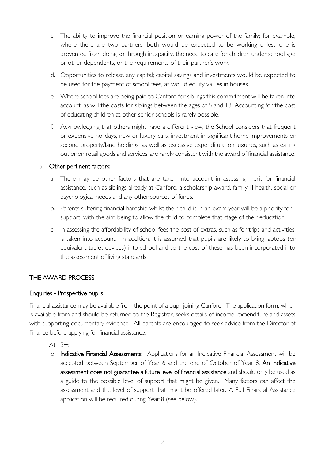- c. The ability to improve the financial position or earning power of the family; for example, where there are two partners, both would be expected to be working unless one is prevented from doing so through incapacity, the need to care for children under school age or other dependents, or the requirements of their partner's work.
- d. Opportunities to release any capital; capital savings and investments would be expected to be used for the payment of school fees, as would equity values in houses.
- e. Where school fees are being paid to Canford for siblings this commitment will be taken into account, as will the costs for siblings between the ages of 5 and 13. Accounting for the cost of educating children at other senior schools is rarely possible.
- f. Acknowledging that others might have a different view, the School considers that frequent or expensive holidays, new or luxury cars, investment in significant home improvements or second property/land holdings, as well as excessive expenditure on luxuries, such as eating out or on retail goods and services, are rarely consistent with the award of financial assistance.

#### 5. Other pertinent factors:

- a. There may be other factors that are taken into account in assessing merit for financial assistance, such as siblings already at Canford, a scholarship award, family ill-health, social or psychological needs and any other sources of funds.
- b. Parents suffering financial hardship whilst their child is in an exam year will be a priority for support, with the aim being to allow the child to complete that stage of their education.
- c. In assessing the affordability of school fees the cost of extras, such as for trips and activities, is taken into account. In addition, it is assumed that pupils are likely to bring laptops (or equivalent tablet devices) into school and so the cost of these has been incorporated into the assessment of living standards.

### THE AWARD PROCESS

### Enquiries - Prospective pupils

Financial assistance may be available from the point of a pupil joining Canford. The application form, which is available from and should be returned to the Registrar, seeks details of income, expenditure and assets with supporting documentary evidence. All parents are encouraged to seek advice from the Director of Finance before applying for financial assistance.

- 1. At 13+:
	- o Indicative Financial Assessments: Applications for an Indicative Financial Assessment will be accepted between September of Year 6 and the end of October of Year 8. An indicative assessment does not guarantee a future level of financial assistance and should only be used as a guide to the possible level of support that might be given. Many factors can affect the assessment and the level of support that might be offered later. A Full Financial Assistance application will be required during Year 8 (see below).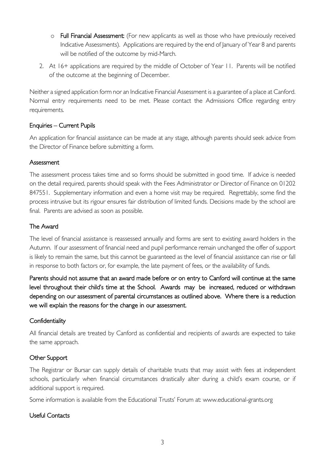- o Full Financial Assessment: (For new applicants as well as those who have previously received Indicative Assessments). Applications are required by the end of January of Year 8 and parents will be notified of the outcome by mid-March.
- 2. At 16+ applications are required by the middle of October of Year 11. Parents will be notified of the outcome at the beginning of December.

Neither a signed application form nor an Indicative Financial Assessment is a guarantee of a place at Canford. Normal entry requirements need to be met. Please contact the Admissions Office regarding entry requirements.

### Enquiries – Current Pupils

An application for financial assistance can be made at any stage, although parents should seek advice from the Director of Finance before submitting a form.

### **Assessment**

The assessment process takes time and so forms should be submitted in good time. If advice is needed on the detail required, parents should speak with the Fees Administrator or Director of Finance on 01202 847551. Supplementary information and even a home visit may be required. Regrettably, some find the process intrusive but its rigour ensures fair distribution of limited funds. Decisions made by the school are final. Parents are advised as soon as possible.

## The Award

The level of financial assistance is reassessed annually and forms are sent to existing award holders in the Autumn. If our assessment of financial need and pupil performance remain unchanged the offer of support is likely to remain the same, but this cannot be guaranteed as the level of financial assistance can rise or fall in response to both factors or, for example, the late payment of fees, or the availability of funds.

Parents should not assume that an award made before or on entry to Canford will continue at the same level throughout their child's time at the School. Awards may be increased, reduced or withdrawn depending on our assessment of parental circumstances as outlined above. Where there is a reduction we will explain the reasons for the change in our assessment.

### **Confidentiality**

All financial details are treated by Canford as confidential and recipients of awards are expected to take the same approach.

## Other Support

The Registrar or Bursar can supply details of charitable trusts that may assist with fees at independent schools, particularly when financial circumstances drastically alter during a child's exam course, or if additional support is required.

Some information is available from the Educational Trusts' Forum at: www.educational-grants.org

## Useful Contacts